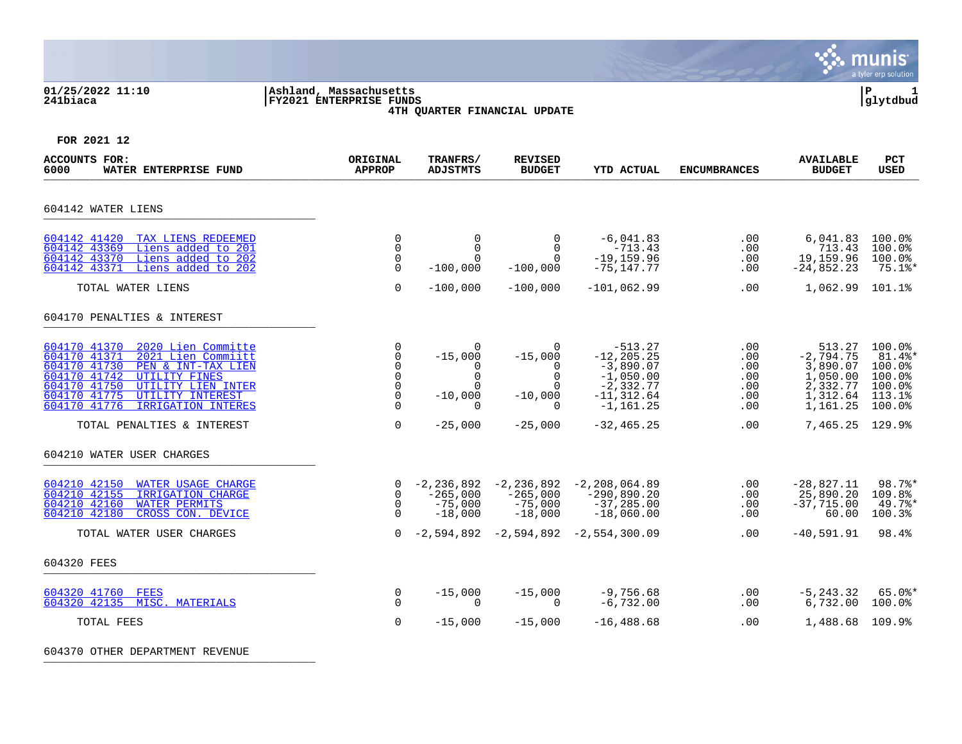#### **01/25/2022 11:10 |Ashland, Massachusetts |P 1 241biaca |FY2021 ENTERPRISE FUNDS |glytdbud 4TH QUARTER FINANCIAL UPDATE**



**FOR 2021 12**

| ACCOUNTS FOR:<br>6000<br>WATER ENTERPRISE FUND                                                                                                                                                                                                                         | ORIGINAL<br><b>APPROP</b>                                            | TRANFRS/<br><b>ADJSTMTS</b>                                               | <b>REVISED</b><br><b>BUDGET</b>                                                       | <b>YTD ACTUAL</b>                                                                                          | <b>ENCUMBRANCES</b>                           | <b>AVAILABLE</b><br><b>BUDGET</b>                                                 | <b>PCT</b><br><b>USED</b>                                              |
|------------------------------------------------------------------------------------------------------------------------------------------------------------------------------------------------------------------------------------------------------------------------|----------------------------------------------------------------------|---------------------------------------------------------------------------|---------------------------------------------------------------------------------------|------------------------------------------------------------------------------------------------------------|-----------------------------------------------|-----------------------------------------------------------------------------------|------------------------------------------------------------------------|
| 604142 WATER LIENS                                                                                                                                                                                                                                                     |                                                                      |                                                                           |                                                                                       |                                                                                                            |                                               |                                                                                   |                                                                        |
| 604142 41420 TAX LIENS REDEEMED<br>Liens added to 201<br>604142 43369<br>Liens added to 202<br>604142 43370<br>604142 43371<br>Liens added to 202                                                                                                                      | 0<br>$\mathsf 0$<br>$\mathbf 0$<br>$\Omega$                          | $\mathbf 0$<br>$\mathbf 0$<br>$\Omega$<br>$-100,000$                      | 0<br>$\Omega$<br>$\Omega$<br>$-100,000$                                               | $-6,041.83$<br>$-713.43$<br>$-19, 159.96$<br>$-75, 147.77$                                                 | .00<br>.00<br>.00<br>.00                      | 6,041.83<br>713.43<br>19,159.96<br>$-24,852.23$                                   | 100.0%<br>100.0%<br>100.0%<br>$75.1$ %*                                |
| TOTAL WATER LIENS                                                                                                                                                                                                                                                      | $\Omega$                                                             | $-100,000$                                                                | $-100,000$                                                                            | $-101,062.99$                                                                                              | .00                                           | 1,062.99                                                                          | 101.1%                                                                 |
| 604170 PENALTIES & INTEREST                                                                                                                                                                                                                                            |                                                                      |                                                                           |                                                                                       |                                                                                                            |                                               |                                                                                   |                                                                        |
| 604170 41370<br>2020 Lien Committe<br>604170 41371<br>2021 Lien Commiitt<br>604170 41730<br>PEN & INT-TAX LIEN<br>604170 41742<br><b>UTILITY FINES</b><br>604170 41750<br>UTILITY LIEN INTER<br>604170 41775<br>UTILITY INTEREST<br>604170 41776<br>IRRIGATION INTERES | 0<br>$\mathbf 0$<br>0<br>$\mathbf 0$<br>$\mathbf 0$<br>0<br>$\Omega$ | $\Omega$<br>$-15,000$<br>$\mathbf 0$<br>$\Omega$<br>$-10,000$<br>$\Omega$ | $\Omega$<br>$-15,000$<br>$\Omega$<br>$\mathbf 0$<br>$\Omega$<br>$-10,000$<br>$\Omega$ | $-513.27$<br>$-12, 205, 25$<br>$-3,890.07$<br>$-1,050.00$<br>$-2, 332.77$<br>$-11, 312.64$<br>$-1, 161.25$ | .00<br>.00<br>.00<br>.00<br>.00<br>.00<br>.00 | 513.27<br>$-2.794.75$<br>3,890.07<br>1,050.00<br>2,332.77<br>1,312.64<br>1,161.25 | 100.0%<br>$81.4$ $*$<br>100.0%<br>100.0%<br>100.0%<br>113.1%<br>100.0% |
| TOTAL PENALTIES & INTEREST                                                                                                                                                                                                                                             | $\mathbf 0$                                                          | $-25,000$                                                                 | $-25,000$                                                                             | $-32, 465.25$                                                                                              | .00                                           | 7,465.25                                                                          | 129.9%                                                                 |
| 604210 WATER USER CHARGES                                                                                                                                                                                                                                              |                                                                      |                                                                           |                                                                                       |                                                                                                            |                                               |                                                                                   |                                                                        |
| 604210 42150<br><b>WATER USAGE CHARGE</b><br>604210 42155<br>IRRIGATION CHARGE<br>604210 42160<br><b>WATER PERMITS</b><br>604210 42180<br>CROSS CON. DEVICE                                                                                                            | 0<br>0<br>$\mathbf 0$<br>$\Omega$                                    | $-2, 236, 892$<br>$-265,000$<br>$-75,000$<br>$-18,000$                    | $-2, 236, 892$<br>$-265,000$<br>$-75,000$<br>$-18,000$                                | $-2, 208, 064.89$<br>$-290,890.20$<br>$-37, 285.00$<br>$-18,060.00$                                        | .00<br>.00<br>.00<br>.00                      | $-28,827.11$<br>25,890.20<br>$-37,715.00$<br>60.00                                | 98.7%*<br>109.8%<br>$49.7$ %*<br>100.3%                                |
| TOTAL WATER USER CHARGES                                                                                                                                                                                                                                               | $\Omega$                                                             | -2,594,892                                                                | -2,594,892                                                                            | $-2,554,300.09$                                                                                            | .00                                           | $-40,591.91$                                                                      | 98.4%                                                                  |
| 604320 FEES                                                                                                                                                                                                                                                            |                                                                      |                                                                           |                                                                                       |                                                                                                            |                                               |                                                                                   |                                                                        |
| 604320 41760 FEES<br>604320 42135 MISC. MATERIALS                                                                                                                                                                                                                      | 0<br>$\Omega$                                                        | $-15,000$<br>$\Omega$                                                     | $-15,000$<br>$\Omega$                                                                 | $-9,756.68$<br>$-6,732.00$                                                                                 | .00<br>.00                                    | $-5, 243.32$<br>6,732.00                                                          | $65.0$ *<br>100.0%                                                     |
| TOTAL FEES                                                                                                                                                                                                                                                             | 0                                                                    | $-15,000$                                                                 | $-15,000$                                                                             | $-16, 488.68$                                                                                              | .00                                           | 1,488.68                                                                          | 109.9%                                                                 |

604370 OTHER DEPARTMENT REVENUE **\_\_\_\_\_\_\_\_\_\_\_\_\_\_**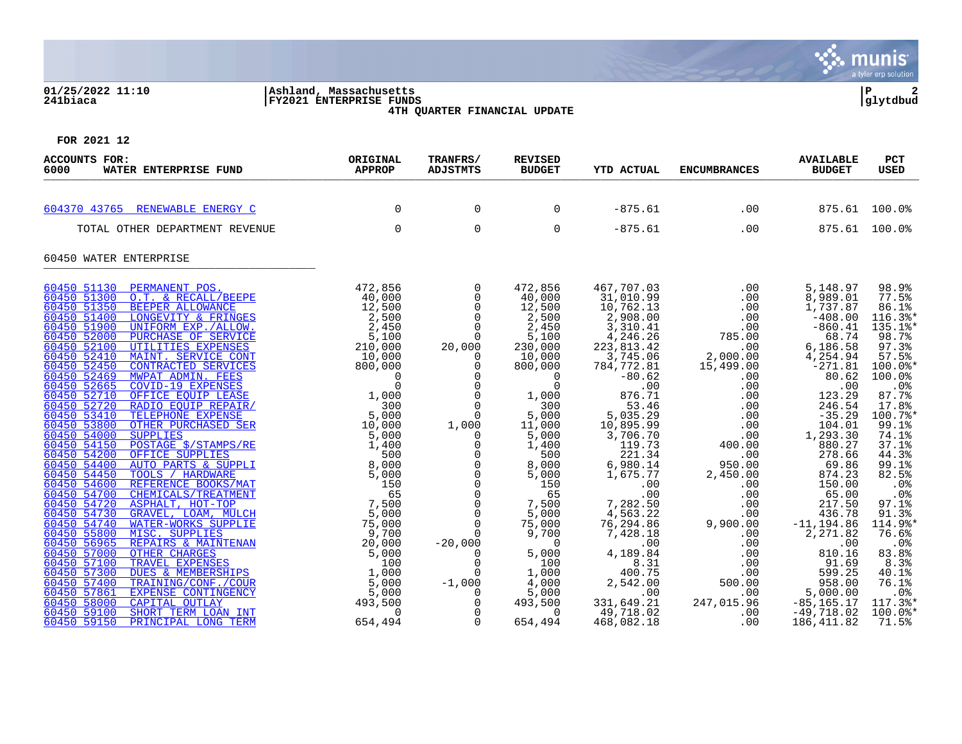#### **01/25/2022 11:10 |Ashland, Massachusetts |P 2 241biaca |FY2021 ENTERPRISE FUNDS |glytdbud 4TH QUARTER FINANCIAL UPDATE**



| ACCOUNTS FOR:<br>6000<br>WATER ENTERPRISE FUND                                                                                    | ORIGINAL<br><b>APPROP</b>                                                                                                                                                                                                                                                                                                                             | TRANFRS/<br><b>ADJSTMTS</b>                               | <b>REVISED</b><br><b>BUDGET</b>       | <b>YTD ACTUAL</b>                                | <b>ENCUMBRANCES</b>                                    | <b>AVAILABLE</b><br><b>BUDGET</b>             | <b>PCT</b><br><b>USED</b>            |
|-----------------------------------------------------------------------------------------------------------------------------------|-------------------------------------------------------------------------------------------------------------------------------------------------------------------------------------------------------------------------------------------------------------------------------------------------------------------------------------------------------|-----------------------------------------------------------|---------------------------------------|--------------------------------------------------|--------------------------------------------------------|-----------------------------------------------|--------------------------------------|
|                                                                                                                                   |                                                                                                                                                                                                                                                                                                                                                       |                                                           |                                       |                                                  |                                                        |                                               |                                      |
| 604370 43765 RENEWABLE ENERGY C                                                                                                   | $\Omega$                                                                                                                                                                                                                                                                                                                                              | $\mathbf 0$                                               | $\Omega$                              | $-875.61$                                        | .00                                                    |                                               | 875.61 100.0%                        |
| TOTAL OTHER DEPARTMENT REVENUE                                                                                                    | $\mathbf 0$                                                                                                                                                                                                                                                                                                                                           | $\mathbf 0$                                               | $\Omega$                              | $-875.61$                                        | .00                                                    |                                               | 875.61 100.0%                        |
| 60450 WATER ENTERPRISE                                                                                                            |                                                                                                                                                                                                                                                                                                                                                       |                                                           |                                       |                                                  |                                                        |                                               |                                      |
| 60450 51130 PERMANENT POS.                                                                                                        | 472,856                                                                                                                                                                                                                                                                                                                                               | $\overline{0}$<br>$\mathbf 0$<br>$\Omega$<br>$\mathsf{O}$ | 472,856<br>40,000<br>12,500<br>2,500  | 467,707.03<br>31,010.99<br>10,762.13<br>2,908.00 | .00<br>.00<br>.00<br>.00                               | 5,148.97<br>8,989.01<br>1,737.87<br>$-408.00$ | 98.9%<br>77.5%<br>86.1%<br>$116.3$ * |
| 60450 52410<br>MAINT. SERVICE CONT                                                                                                |                                                                                                                                                                                                                                                                                                                                                       | $\Omega$<br>$\Omega$<br>20,000<br>0                       | 2,450<br>5,100<br>230,000<br>10,000   | 3,310.41<br>4,246.26<br>223,813.42<br>3,745.06   | .00<br>785.00<br>$\sim$ .00<br>$2,000.00$<br>15,499.00 | $-860.41$<br>68.74<br>6,186.58<br>4,254.94    | 135.1%*<br>98.7%<br>97.3%<br>57.5%   |
| $\frac{60450}{60450}$ 52450<br>CONTRACTED SERVICES<br>60450 52469<br>MWPAT ADMIN. FEES<br><b>COVID-19 EXPENSES</b><br>60450 52665 | $\begin{array}{cc} \frac{\sqrt{16}}{1000} & 310,0000\\ \frac{\sqrt{16}}{25} & 210,0000\\ \frac{\sqrt{16}}{25} & 10,0000\\ \frac{\sqrt{16}}{25} & 10,0000\\ \frac{\sqrt{16}}{25} & 1,0000\\ \frac{\sqrt{16}}{25} & 5,0000\\ \frac{\sqrt{16}}{25} & 5,0000\\ \frac{\sqrt{16}}{25} & 5,0000\\ \frac{\sqrt{16}}{25} & 5,0000\\ \frac{\sqrt{16}}{25} & 7,$ | $\mathbf 0$<br>$\Omega$<br>$\Omega$                       | 800,000<br>$\overline{0}$<br>$\Omega$ | 784,772.81<br>$-80.62$<br>.00                    | .00<br>.00                                             | $-271.81$<br>80.62<br>.00                     | $100.0$ *<br>100.0%<br>.0%           |
| 60450 52710<br>OFFICE EQUIP LEASE<br>60450 52720<br>RADIO EOUIP REPAIR/<br>60450 53410<br>TELEPHONE EXPENSE                       |                                                                                                                                                                                                                                                                                                                                                       | $\overline{0}$<br>$\mathbf 0$<br>$\Omega$                 | 1,000<br>300<br>5,000                 | 876.71<br>53.46<br>5,035.29                      | .00<br>.00<br>.00                                      | 123.29<br>246.54<br>$-35.29$                  | 87.7%<br>17.8%<br>100.7%*            |
| 60450 53800<br>OTHER PURCHASED SER<br>60450 54000<br><b>SUPPLIES</b><br>60450 54150<br>POSTAGE \$/STAMPS/RE                       |                                                                                                                                                                                                                                                                                                                                                       | 1,000<br>0                                                | 11,000<br>5,000<br>1,400              | 10,895.99<br>3,706.70<br>119.73                  | .00<br>.00<br>400.00                                   | 104.01<br>1,293.30<br>880.27                  | 99.1%<br>74.1%<br>37.1%              |
| 60450 54200<br>OFFICE SUPPLIES<br>60450 54400<br>AUTO PARTS & SUPPLI<br>60450 54450<br>TOOLS / HARDWARE                           |                                                                                                                                                                                                                                                                                                                                                       | $\mathbf 0$<br>$\overline{0}$<br>$\mathsf{O}$             | 500<br>8,000<br>5,000                 | 221.34<br>6,980.14<br>1,675.77                   | .00<br>950.00<br>2,450.00                              | 278.66<br>69.86<br>874.23                     | 44.3%<br>99.1%<br>82.5%              |
| 60450 54600<br>REFERENCE BOOKS/MAT<br>60450 54700<br><b>CHEMICALS/TREATMENT</b><br>60450 54720<br>ASPHALT, HOT-TOP                |                                                                                                                                                                                                                                                                                                                                                       | $\mathbf 0$<br>$\mathbf 0$<br>$\Omega$                    | <sup>150</sup><br>65<br>7,500         | .00<br>.00<br>7,282.50                           | .00<br>.00                                             | 150.00<br>65.00<br>217.50                     | .0%<br>.0%<br>97.1%                  |
| 60450 54730<br>GRAVEL, LOAM, MULCH<br>60450 54740<br>WATER-WORKS SUPPLIE                                                          |                                                                                                                                                                                                                                                                                                                                                       | $\mathsf{O}$<br>$\Omega$                                  | 5,000<br>75,000                       | 4,563.22<br>76,294.86                            | 00 :<br>00 .<br>00 . 90 , 9                            | 436.78<br>$-11, 194.86$                       | 91.3%<br>114.9%*<br>76.6%            |
| 60450 55800<br>MISC. SUPPLIES<br>60450 56965<br>REPAIRS & MAINTENAN<br>60450 57000<br>OTHER CHARGES                               |                                                                                                                                                                                                                                                                                                                                                       | 0<br>$-20,000$<br>$\Omega$                                | 9,700<br>$\overline{0}$<br>5,000      | 7,428.18<br>.00<br>4,189.84                      | .00<br>.00<br>.00                                      | 2,271.82<br>.00<br>810.16                     | .0%<br>83.8%                         |
| TRAVEL EXPENSES<br>60450 57300<br>DUES & MEMBERSHIPS<br>60450 57400<br>TRAINING/CONF./COUR                                        |                                                                                                                                                                                                                                                                                                                                                       | $\mathbf 0$<br>$\Omega$<br>$-1,000$                       | 100<br>1,000<br>4,000                 | 8.31<br>400.75<br>2,542.00                       | .00<br>.00<br>500.00                                   | 91.69<br>599.25<br>958.00                     | 8.3%<br>40.1%<br>76.1%               |
| EXPENSE CONTINGENCY<br>60450 57861<br>60450 58000<br>CAPITAL OUTLAY<br>60450 59100<br>SHORT TERM LOAN INT                         |                                                                                                                                                                                                                                                                                                                                                       | $\Omega$<br>$\mathbf 0$<br>$\Omega$                       | 5,000<br>493,500<br>$\overline{0}$    | .00<br>331,649.21<br>49,718.02                   | .00<br>$\frac{1}{247}$ ,<br>247,015.96<br>.00          | 5,000.00<br>$-85, 165, 17$<br>$-49,718.02$    | .0%<br>117.3%*<br>$100.0$ *          |
| 60450 59150<br>PRINCIPAL LONG TERM                                                                                                |                                                                                                                                                                                                                                                                                                                                                       | $\Omega$                                                  | 654,494                               | 468,082.18                                       | .00                                                    | 186, 411.82                                   | 71.5%                                |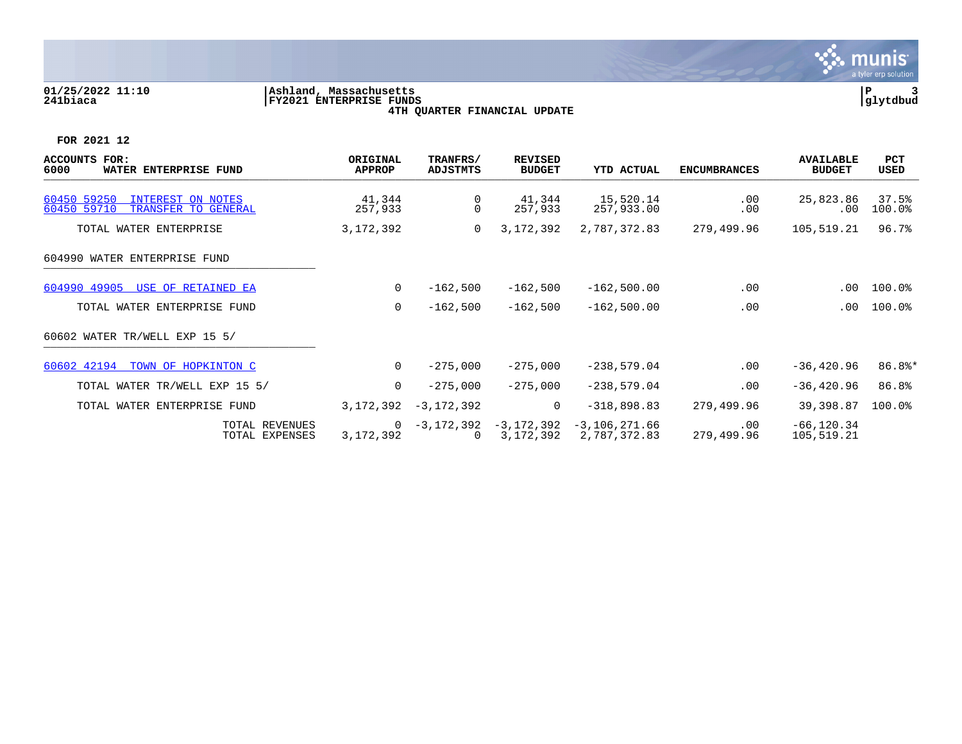

# **01/25/2022 11:10 |Ashland, Massachusetts |P 3 241biaca |FY2021 ENTERPRISE FUNDS |glytdbud**



**4TH QUARTER FINANCIAL UPDATE**

| <b>ACCOUNTS FOR:</b><br>6000<br>WATER ENTERPRISE FUND                  | ORIGINAL<br><b>APPROP</b> | TRANFRS/<br>ADJSTMTS | <b>REVISED</b><br><b>BUDGET</b> | <b>YTD ACTUAL</b>               | <b>ENCUMBRANCES</b> | <b>AVAILABLE</b><br><b>BUDGET</b> | PCT<br>USED     |
|------------------------------------------------------------------------|---------------------------|----------------------|---------------------------------|---------------------------------|---------------------|-----------------------------------|-----------------|
| 60450 59250<br>INTEREST ON NOTES<br>60450 59710<br>TRANSFER TO GENERAL | 41,344<br>257,933         | 0<br>$\mathbf 0$     | 41,344<br>257,933               | 15,520.14<br>257,933.00         | .00<br>.00          | 25,823.86<br>.00                  | 37.5%<br>100.0% |
| TOTAL WATER ENTERPRISE                                                 | 3,172,392                 | 0                    | 3,172,392                       | 2,787,372.83                    | 279,499.96          | 105,519.21                        | 96.7%           |
| 604990 WATER ENTERPRISE FUND                                           |                           |                      |                                 |                                 |                     |                                   |                 |
| 604990 49905 USE OF RETAINED EA                                        | $\mathbf 0$               | $-162,500$           | $-162,500$                      | $-162,500.00$                   | .00                 | .00                               | 100.0%          |
| TOTAL WATER ENTERPRISE FUND                                            | 0                         | $-162,500$           | $-162,500$                      | $-162,500.00$                   | .00                 | .00                               | $100.0$ %       |
| 60602 WATER TR/WELL EXP 15 5/                                          |                           |                      |                                 |                                 |                     |                                   |                 |
| 60602 42194 TOWN OF HOPKINTON C                                        | $\mathbf 0$               | $-275,000$           | $-275,000$                      | $-238,579.04$                   | .00                 | $-36, 420.96$                     | 86.8%*          |
| TOTAL WATER TR/WELL EXP 15 5/                                          | 0                         | $-275,000$           | $-275,000$                      | $-238,579.04$                   | .00                 | $-36, 420.96$                     | 86.8%           |
| TOTAL WATER ENTERPRISE FUND                                            | 3,172,392                 | $-3, 172, 392$       | $\mathbf{0}$                    | $-318,898.83$                   | 279,499.96          | 39,398.87                         | 100.0%          |
| TOTAL REVENUES<br>TOTAL EXPENSES                                       | 0<br>3, 172, 392          | -3,172,392<br>0      | -3,172,392<br>3,172,392         | $-3,106,271.66$<br>2,787,372.83 | .00<br>279,499.96   | $-66, 120.34$<br>105,519.21       |                 |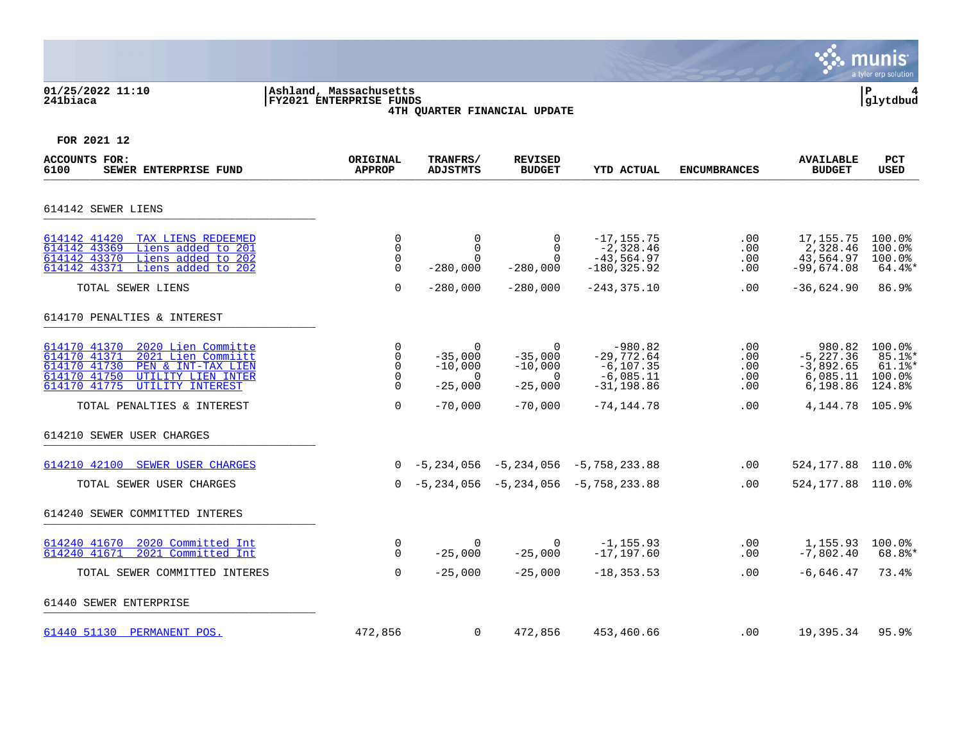#### **01/25/2022 11:10 |Ashland, Massachusetts |P 4 241biaca |FY2021 ENTERPRISE FUNDS |glytdbud 4TH QUARTER FINANCIAL UPDATE**



| <b>ACCOUNTS FOR:</b><br>6100<br>SEWER ENTERPRISE FUND                                                                                                                                                                  | ORIGINAL<br><b>APPROP</b>                                    | TRANFRS/<br><b>ADJSTMTS</b>                                              | <b>REVISED</b><br><b>BUDGET</b>                                                | <b>YTD ACTUAL</b>                                                                           | <b>ENCUMBRANCES</b>                    | <b>AVAILABLE</b><br><b>BUDGET</b>                                                   | <b>PCT</b><br><b>USED</b>                            |
|------------------------------------------------------------------------------------------------------------------------------------------------------------------------------------------------------------------------|--------------------------------------------------------------|--------------------------------------------------------------------------|--------------------------------------------------------------------------------|---------------------------------------------------------------------------------------------|----------------------------------------|-------------------------------------------------------------------------------------|------------------------------------------------------|
| 614142 SEWER LIENS                                                                                                                                                                                                     |                                                              |                                                                          |                                                                                |                                                                                             |                                        |                                                                                     |                                                      |
| 614142 41420<br>TAX LIENS REDEEMED<br>Liens added to 201<br>614142 43369<br>Liens added to 202<br>614142 43370<br>614142 43371<br>Liens added to 202                                                                   | 0<br>$\mathbf 0$<br>0<br>$\Omega$                            | $\overline{0}$<br>$\Omega$<br>$\Omega$<br>$-280,000$                     | 0<br>$\Omega$<br>$\Omega$<br>$-280,000$                                        | $-17, 155.75$<br>$-2,328.46$<br>$-43,564.97$<br>$-180, 325.92$                              | .00<br>.00<br>.00<br>.00               | 17,155.75<br>2,328.46<br>43,564.97<br>$-99,674.08$                                  | 100.0%<br>100.0%<br>100.0%<br>$64.4$ %*              |
| TOTAL SEWER LIENS                                                                                                                                                                                                      | $\Omega$                                                     | $-280,000$                                                               | $-280,000$                                                                     | $-243, 375.10$                                                                              | .00                                    | $-36,624.90$                                                                        | 86.9%                                                |
| 614170 PENALTIES & INTEREST                                                                                                                                                                                            |                                                              |                                                                          |                                                                                |                                                                                             |                                        |                                                                                     |                                                      |
| 614170 41370<br>2020 Lien Committe<br>614170 41371<br>2021 Lien Commiitt<br>614170 41730<br>PEN & INT-TAX LIEN<br>614170 41750<br>UTILITY LIEN INTER<br>614170 41775<br>UTILITY INTEREST<br>TOTAL PENALTIES & INTEREST | 0<br>0<br>$\mathbf 0$<br>$\mathbf 0$<br>$\Omega$<br>$\Omega$ | $\Omega$<br>$-35,000$<br>$-10,000$<br>$\Omega$<br>$-25,000$<br>$-70,000$ | $\Omega$<br>$-35,000$<br>$-10,000$<br>$\overline{0}$<br>$-25,000$<br>$-70,000$ | $-980.82$<br>$-29,772.64$<br>$-6, 107.35$<br>$-6,085.11$<br>$-31, 198, 86$<br>$-74, 144.78$ | .00<br>.00<br>.00<br>.00<br>.00<br>.00 | 980.82<br>$-5, 227.36$<br>$-3,892.65$<br>6,085.11<br>6,198.86<br>4, 144. 78 105. 9% | 100.0%<br>$85.1$ %*<br>$61.1$ %*<br>100.0%<br>124.8% |
| 614210 SEWER USER CHARGES                                                                                                                                                                                              |                                                              |                                                                          |                                                                                |                                                                                             |                                        |                                                                                     |                                                      |
| 614210 42100 SEWER USER CHARGES                                                                                                                                                                                        |                                                              |                                                                          |                                                                                | $0 -5, 234, 056 -5, 234, 056 -5, 758, 233.88$                                               | .00                                    | 524, 177.88 110.0%                                                                  |                                                      |
| TOTAL SEWER USER CHARGES                                                                                                                                                                                               |                                                              |                                                                          |                                                                                | $0 -5, 234, 056 -5, 234, 056 -5, 758, 233.88$                                               | .00                                    | 524, 177.88 110.0%                                                                  |                                                      |
| 614240 SEWER COMMITTED INTERES                                                                                                                                                                                         |                                                              |                                                                          |                                                                                |                                                                                             |                                        |                                                                                     |                                                      |
| 614240 41670<br>2020 Committed Int<br>614240 41671<br>2021 Committed Int                                                                                                                                               | $\Omega$<br>$\Omega$                                         | $\Omega$<br>$-25,000$                                                    | $\Omega$<br>$-25,000$                                                          | $-1, 155.93$<br>$-17, 197, 60$                                                              | .00<br>.00                             | 1,155.93<br>$-7.802.40$                                                             | 100.0%<br>68.8%*                                     |
| TOTAL SEWER COMMITTED INTERES                                                                                                                                                                                          | $\Omega$                                                     | $-25,000$                                                                | $-25,000$                                                                      | $-18, 353.53$                                                                               | $.00 \,$                               | $-6,646.47$                                                                         | 73.4%                                                |
| 61440 SEWER ENTERPRISE                                                                                                                                                                                                 |                                                              |                                                                          |                                                                                |                                                                                             |                                        |                                                                                     |                                                      |
| 61440 51130 PERMANENT POS.                                                                                                                                                                                             | 472,856                                                      | $\overline{0}$                                                           | 472,856                                                                        | 453,460.66                                                                                  | .00                                    | 19,395.34                                                                           | 95.9%                                                |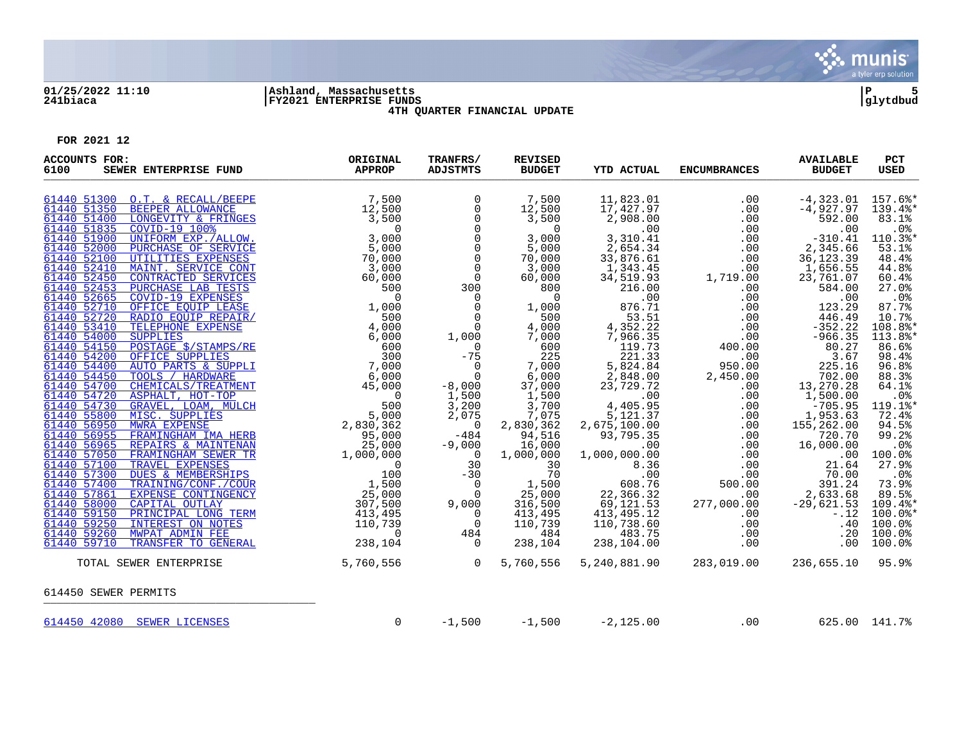

# **01/25/2022 11:10 |Ashland, Massachusetts |P 5 241biaca |FY2021 ENTERPRISE FUNDS |glytdbud**



**4TH QUARTER FINANCIAL UPDATE**

| <b>ACCOUNTS FOR:</b><br>6100<br>SEWER ENTERPRISE FUND                                                                                                                                                                                                                                 | ORIGINAL<br>APPROP                                                                                                                                                                                                                                                                                                                                                          | TRANFRS/<br><b>ADJSTMTS</b>       | <b>REVISED</b><br><b>BUDGET</b> | <b>YTD ACTUAL</b>                                            | <b>ENCUMBRANCES</b> | <b>AVAILABLE</b><br><b>BUDGET</b> | <b>PCT</b><br><b>USED</b> |
|---------------------------------------------------------------------------------------------------------------------------------------------------------------------------------------------------------------------------------------------------------------------------------------|-----------------------------------------------------------------------------------------------------------------------------------------------------------------------------------------------------------------------------------------------------------------------------------------------------------------------------------------------------------------------------|-----------------------------------|---------------------------------|--------------------------------------------------------------|---------------------|-----------------------------------|---------------------------|
| 61440 51300 O.T. & RECALL/BEEPE                                                                                                                                                                                                                                                       | 7,500                                                                                                                                                                                                                                                                                                                                                                       | $\mathbf 0$                       | 7,500                           | 11,823.01                                                    | .00                 | $-4,323.01$                       | $157.6$ $*$               |
| 61440 51350<br>BEEPER ALLOWANCE                                                                                                                                                                                                                                                       | $\begin{array}{r} 7\,, 500\ 12\,, 500\ 3\,, 500\ 0\ 6\,, 000\ 70\,, 000\ 3\,, 000\ 3\,, 000\ 70\,, 000\ 3\,, 000\ 60\,, 500\ 60\,, 500\ 1\,, 000\ 4\,, 000\ \end{array}$                                                                                                                                                                                                    | $\mathsf{O}$                      | 12,500                          | 17,427.97                                                    |                     | -4,927.97                         | $139.4$ *                 |
| 61440 51400<br>LONGEVITY & FRINGES                                                                                                                                                                                                                                                    |                                                                                                                                                                                                                                                                                                                                                                             | $\overline{0}$                    | 3,500                           | 2,908.00                                                     |                     | 592.00                            | 83.1%                     |
| 61440 51835<br>COVID-19 100%                                                                                                                                                                                                                                                          |                                                                                                                                                                                                                                                                                                                                                                             | $\mathsf 0$                       | $\overline{0}$                  | .00                                                          |                     | .00                               | .0%                       |
| UNIFORM EXP. ALLOW.<br>61440 51900                                                                                                                                                                                                                                                    |                                                                                                                                                                                                                                                                                                                                                                             | $\overline{0}$<br>$\overline{0}$  | 3,000                           | 3,310.41                                                     |                     | $-310.41$                         | 110.3%*                   |
| 61440 52000<br>PURCHASE OF SERVICE<br>61440 52100<br>UTILITIES EXPENSES                                                                                                                                                                                                               |                                                                                                                                                                                                                                                                                                                                                                             | $\mathsf{O}$                      | 5,000<br>70,000                 | 2,654.34<br>33,876.61                                        |                     | 2,345.66<br>36, 123.39            | 53.1%<br>48.4%            |
| 61440 52410 MAINT. SERVICE CONT                                                                                                                                                                                                                                                       |                                                                                                                                                                                                                                                                                                                                                                             | $\overline{0}$                    | 3,000                           | 1,343.45                                                     |                     | 1,656.55                          | 44.8%                     |
| CONTRACTED SERVICES<br>61440 52450                                                                                                                                                                                                                                                    |                                                                                                                                                                                                                                                                                                                                                                             | $\overline{0}$                    | 60,000                          | 34,519.93                                                    |                     | 23,761.07                         | 60.4%                     |
| 61440 52453<br>PURCHASE LAB TESTS                                                                                                                                                                                                                                                     |                                                                                                                                                                                                                                                                                                                                                                             | 300                               | 800                             | 216.00                                                       | .00                 | 584.00                            | 27.0%                     |
| 61440 52665<br><b>COVID-19 EXPENSES</b>                                                                                                                                                                                                                                               |                                                                                                                                                                                                                                                                                                                                                                             | $\overline{0}$                    | $\overline{0}$                  | .00                                                          | .00                 | .00                               | .0%                       |
| 61440 52710<br>OFFICE EQUIP LEASE                                                                                                                                                                                                                                                     |                                                                                                                                                                                                                                                                                                                                                                             | $\overline{0}$                    | 1,000                           | 876.71                                                       | $.00 \,$            | 123.29                            | 87.7%                     |
| RADIO EQUIP REPAIR/<br>61440 52720                                                                                                                                                                                                                                                    |                                                                                                                                                                                                                                                                                                                                                                             | $\overline{0}$                    | 500                             | $\begin{array}{r} 53.51 \\ 4,352.22 \\ 7,966.35 \end{array}$ | .00                 | 446.49                            | 10.7%                     |
| 61440 53410                                                                                                                                                                                                                                                                           |                                                                                                                                                                                                                                                                                                                                                                             | $\overline{0}$                    | 4,000                           |                                                              | .00                 | $-352.22$                         | 108.8%*                   |
| 61440 54000                                                                                                                                                                                                                                                                           |                                                                                                                                                                                                                                                                                                                                                                             | 1,000                             | 7,000                           |                                                              | .00                 | $-966.35$                         | 113.8%*                   |
| 61440 54150                                                                                                                                                                                                                                                                           |                                                                                                                                                                                                                                                                                                                                                                             | $\overline{0}$                    | 600                             | 119.73                                                       | 400.00              | 80.27                             | 86.6%                     |
| RADIO EQUIP REPAIR/<br>SUPPLIES<br>SUPPLIES<br>A 4,000<br>DOSTAGE \$/STAMPS/RE<br>OFFICE SUPPLIES<br>AUTO PARTS & SUPPLI<br>TOOLS / HARDWARE<br>TOOLS / HARDWARE<br>TOOLS / HARDWARE<br>TOOLS / HARDWARE<br>TOOLS / HARDWARE<br>TOOLS (FRAMINGHAM MULCH<br>61440 54200<br>61440 54400 |                                                                                                                                                                                                                                                                                                                                                                             | $-75$<br>$\overline{\phantom{0}}$ | 225<br>7,000                    | 221.33<br>5,824.84                                           | .00<br>950.00       | 3.67<br>225.16                    | 98.4%<br>96.8%            |
| 61440 54450                                                                                                                                                                                                                                                                           |                                                                                                                                                                                                                                                                                                                                                                             | $\overline{0}$                    | 6,000                           | 2,848.00                                                     | 2,450.00            | 702.00                            | 88.3%                     |
| 61440 54700                                                                                                                                                                                                                                                                           |                                                                                                                                                                                                                                                                                                                                                                             | $-8,000$                          | 37,000                          | 23,729.72                                                    | .00                 | 13,270.28                         | 64.1%                     |
| 61440 54720                                                                                                                                                                                                                                                                           |                                                                                                                                                                                                                                                                                                                                                                             | 1,500                             |                                 | .00                                                          | .00                 | 1,500.00                          | .0%                       |
| 61440 54730                                                                                                                                                                                                                                                                           |                                                                                                                                                                                                                                                                                                                                                                             | 3,200                             | $\frac{1}{3}, \frac{500}{700}$  |                                                              | .00                 | $-705.95$                         | 119.1%*                   |
| 61440 55800                                                                                                                                                                                                                                                                           |                                                                                                                                                                                                                                                                                                                                                                             | 2,075                             |                                 | 4,405.95<br>5,121.37                                         | .00                 | 1,953.63                          | 72.4%                     |
| 61440 56950                                                                                                                                                                                                                                                                           |                                                                                                                                                                                                                                                                                                                                                                             | $\overline{0}$                    | 2,830,362                       | 2,675,100.00<br>93,795.35                                    | .00                 | 155,262.00                        | 94.5%                     |
| 61440 56955                                                                                                                                                                                                                                                                           |                                                                                                                                                                                                                                                                                                                                                                             | $-484$                            | 94,516                          |                                                              | .00                 | 720.70                            | 99.2%                     |
| 61440 56965                                                                                                                                                                                                                                                                           |                                                                                                                                                                                                                                                                                                                                                                             | $-9,000$                          | 16,000                          | .00                                                          | .00                 | 16,000.00                         | .0%                       |
| 61440 57050<br>FRAMINGHAM SEWER TR                                                                                                                                                                                                                                                    |                                                                                                                                                                                                                                                                                                                                                                             | $\overline{0}$                    | 1,000,000                       | 1,000,000.00                                                 | .00                 | .00                               | 100.0%                    |
| 61440 57100<br>TRAVEL EXPENSES                                                                                                                                                                                                                                                        |                                                                                                                                                                                                                                                                                                                                                                             | 30                                | 30                              | 8.36                                                         | .00                 | 21.64                             | 27.9%                     |
| 61440 57300<br>DUES & MEMBERSHIPS<br>61440 57400<br>TRAINING/CONF./COUR                                                                                                                                                                                                               |                                                                                                                                                                                                                                                                                                                                                                             | $-30$<br>$\overline{0}$           | 70<br>1,500                     | $\overline{\phantom{0}}$ .00<br>608.76                       | .00<br>500.00       | 70.00<br>391.24                   | .0%<br>73.9%              |
| 61440 57861<br>EXPENSE CONTINGENCY                                                                                                                                                                                                                                                    |                                                                                                                                                                                                                                                                                                                                                                             | $\Omega$                          | 25,000                          |                                                              | .00                 | 2,633.68                          | 89.5%                     |
| 61440 58000<br>CAPITAL OUTLAY                                                                                                                                                                                                                                                         |                                                                                                                                                                                                                                                                                                                                                                             | 9,000                             | 316,500                         | 22, 366. 32<br>69, 121. 53                                   | 277,000.00          | $-29,621.53$                      | $109.4$ *                 |
| PRINCIPAL LONG TERM<br>61440 59150                                                                                                                                                                                                                                                    |                                                                                                                                                                                                                                                                                                                                                                             | $\overline{0}$                    | 413,495                         | 413,495.12                                                   | .00                 | $-.12$                            | $100.0$ *                 |
| 61440 59250<br>INTEREST ON NOTES                                                                                                                                                                                                                                                      |                                                                                                                                                                                                                                                                                                                                                                             | $\Omega$                          | 110,739                         | 110,738.60                                                   | .00                 | .40                               | $100.0$ %                 |
| 61440 59260<br>MWPAT ADMIN FEE                                                                                                                                                                                                                                                        |                                                                                                                                                                                                                                                                                                                                                                             | 484                               | 484                             | 483.75                                                       | $.00 \,$            | .20                               | $100.0$ %                 |
| TRANSFER TO GENERAL<br>61440 59710                                                                                                                                                                                                                                                    | $\begin{array}{c} \underline{\mathbf{N}} & 25,000 \\ \underline{\mathbf{R}} & 1,000,000 \\ \underline{\mathbf{3}} & 100 \\ \underline{\mathbf{N}} & 100 \\ \underline{\mathbf{N}} & 25,000 \\ \underline{\mathbf{25}},000 \\ \underline{\mathbf{307}},500 \\ \underline{\mathbf{307}},500 \\ \underline{\mathbf{413}},495 \\ \underline{\mathbf{AL}} & 238,104 \end{array}$ | $\overline{0}$                    | 238,104                         | 238,104.00                                                   | .00                 | .00                               | 100.0%                    |
| TOTAL SEWER ENTERPRISE                                                                                                                                                                                                                                                                | 5,760,556                                                                                                                                                                                                                                                                                                                                                                   | $\overline{0}$                    | 5,760,556                       | 5,240,881.90                                                 | 283,019.00          | 236,655.10                        | 95.9%                     |
| 614450 SEWER PERMITS                                                                                                                                                                                                                                                                  |                                                                                                                                                                                                                                                                                                                                                                             |                                   |                                 |                                                              |                     |                                   |                           |
| 614450 42080 SEWER LICENSES                                                                                                                                                                                                                                                           | 0                                                                                                                                                                                                                                                                                                                                                                           | $-1,500$                          | $-1,500$                        | $-2, 125.00$                                                 | .00                 |                                   | 625.00 141.7%             |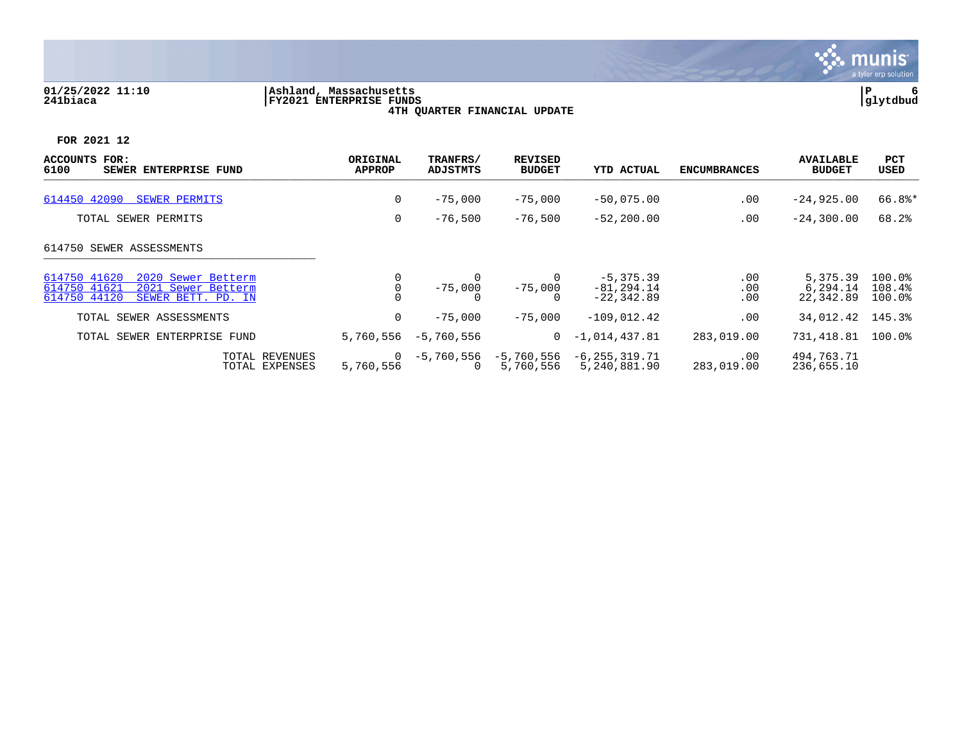

### **01/25/2022 11:10 |Ashland, Massachusetts |P 6 241biaca |FY2021 ENTERPRISE FUNDS |glytdbud 4TH QUARTER FINANCIAL UPDATE**



| <b>ACCOUNTS</b><br>FOR:<br>6100<br>SEWER ENTERPRISE FUND                                                       | ORIGINAL<br><b>APPROP</b>   | TRANFRS/<br>ADJSTMTS         | <b>REVISED</b><br><b>BUDGET</b> | <b>YTD ACTUAL</b>                             | <b>ENCUMBRANCES</b> | <b>AVAILABLE</b><br><b>BUDGET</b> | PCT<br><b>USED</b>         |
|----------------------------------------------------------------------------------------------------------------|-----------------------------|------------------------------|---------------------------------|-----------------------------------------------|---------------------|-----------------------------------|----------------------------|
| 614450 42090 SEWER PERMITS                                                                                     | 0                           | $-75,000$                    | $-75,000$                       | $-50,075.00$                                  | .00                 | $-24,925.00$                      | 66.8%*                     |
| TOTAL SEWER PERMITS                                                                                            | 0                           | $-76,500$                    | $-76,500$                       | $-52, 200.00$                                 | .00                 | $-24, 300.00$                     | 68.2%                      |
| 614750 SEWER ASSESSMENTS                                                                                       |                             |                              |                                 |                                               |                     |                                   |                            |
| 614750 41620<br>2020 Sewer Betterm<br>614750 41621<br>2021 Sewer Betterm<br>614750 44120<br>SEWER BETT. PD. IN |                             | $-75,000$                    | 0<br>75,000 –                   | $-5,375.39$<br>$-81, 294.14$<br>$-22, 342.89$ | .00<br>.00<br>.00   | 5,375.39<br>6,294.14<br>22,342.89 | 100.0%<br>108.4%<br>100.0% |
| TOTAL SEWER ASSESSMENTS                                                                                        | 0                           | $-75.000$                    | $-75,000$                       | $-109,012.42$                                 | .00                 | 34,012.42                         | 145.3%                     |
| TOTAL SEWER ENTERPRISE FUND                                                                                    | 5,760,556                   | $-5,760,556$                 | $\Omega$                        | $-1,014,437.81$                               | 283,019.00          | 731,418.81                        | 100.0%                     |
| TOTAL REVENUES<br>TOTAL EXPENSES                                                                               | $\overline{0}$<br>5,760,556 | -5,760,556<br>$\overline{0}$ | -5,760,556<br>5,760,556         | -6,255,319.71<br>5,240,881.90                 | .00<br>283,019.00   | 494,763.71<br>236,655.10          |                            |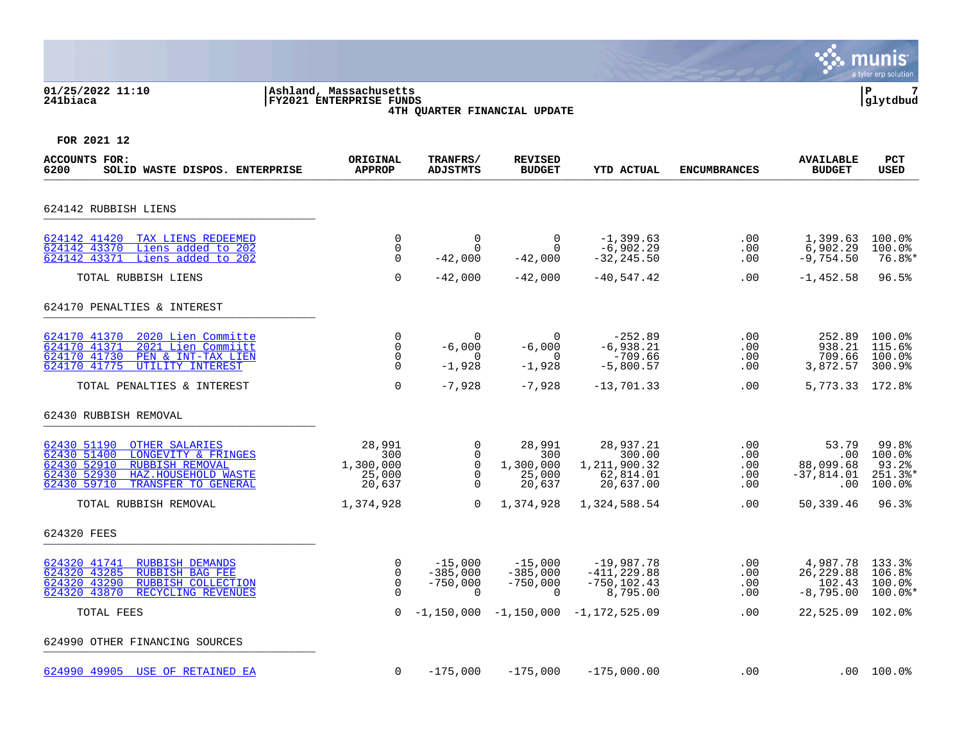#### **01/25/2022 11:10 |Ashland, Massachusetts |P 7 241biaca |FY2021 ENTERPRISE FUNDS |glytdbud 4TH QUARTER FINANCIAL UPDATE**



| <b>ACCOUNTS FOR:</b><br>SOLID WASTE DISPOS. ENTERPRISE<br>6200                                                                                                                    | ORIGINAL<br><b>APPROP</b>                          | TRANFRS/<br><b>ADJSTMTS</b>                       | <b>REVISED</b><br><b>BUDGET</b>                         | <b>YTD ACTUAL</b>                                             | <b>ENCUMBRANCES</b>             | <b>AVAILABLE</b><br><b>BUDGET</b>                     | <b>PCT</b><br><b>USED</b>                                   |
|-----------------------------------------------------------------------------------------------------------------------------------------------------------------------------------|----------------------------------------------------|---------------------------------------------------|---------------------------------------------------------|---------------------------------------------------------------|---------------------------------|-------------------------------------------------------|-------------------------------------------------------------|
| 624142 RUBBISH LIENS                                                                                                                                                              |                                                    |                                                   |                                                         |                                                               |                                 |                                                       |                                                             |
| 624142 41420<br>TAX LIENS REDEEMED<br>624142 43370<br>Liens added to 202<br>624142 43371<br>Liens added to 202                                                                    | $\mathbf 0$<br>$\mathbf 0$<br>$\mathbf 0$          | $\Omega$<br>$\Omega$<br>$-42,000$                 | $\Omega$<br>$\Omega$<br>$-42,000$                       | $-1, 399.63$<br>$-6,902.29$<br>$-32, 245.50$                  | .00<br>.00<br>.00               | 1,399.63<br>6,902.29<br>$-9,754.50$                   | $100.0$ <sup>8</sup><br>100.0%<br>76.8%*                    |
| TOTAL RUBBISH LIENS                                                                                                                                                               | $\mathbf 0$                                        | $-42,000$                                         | $-42,000$                                               | $-40,547.42$                                                  | .00                             | $-1,452.58$                                           | 96.5%                                                       |
| 624170 PENALTIES & INTEREST                                                                                                                                                       |                                                    |                                                   |                                                         |                                                               |                                 |                                                       |                                                             |
| 624170 41370<br>2020 Lien Committe<br>624170 41371<br>2021 Lien Commiitt<br>624170 41730<br>PEN & INT-TAX LIEN<br>624170 41775<br>UTILITY INTEREST                                | $\Omega$<br>$\mathbf 0$<br>$\Omega$<br>$\Omega$    | $\Omega$<br>$-6,000$<br>$\Omega$<br>$-1,928$      | $\Omega$<br>$-6,000$<br>$\Omega$<br>$-1,928$            | $-252.89$<br>$-6,938.21$<br>$-709.66$<br>$-5,800.57$          | .00<br>.00<br>.00<br>.00        | 252.89<br>938.21<br>709.66<br>3,872.57                | 100.0%<br>115.6%<br>100.0%<br>300.9%                        |
| TOTAL PENALTIES & INTEREST                                                                                                                                                        | 0                                                  | $-7,928$                                          | $-7,928$                                                | $-13,701.33$                                                  | .00                             | 5,773.33 172.8%                                       |                                                             |
| 62430 RUBBISH REMOVAL                                                                                                                                                             |                                                    |                                                   |                                                         |                                                               |                                 |                                                       |                                                             |
| 62430 51190<br>OTHER SALARIES<br>62430 51400<br>LONGEVITY & FRINGES<br>62430 52910<br>RUBBISH REMOVAL<br>62430 52930<br>HAZ.HOUSEHOLD WASTE<br>62430 59710<br>TRANSFER TO GENERAL | 28,991<br>300<br>1,300,000<br>25,000<br>20,637     | 0<br>0<br>$\mathbf 0$<br>$\mathbf 0$<br>$\Omega$  | 28,991<br>300<br>1,300,000<br>25,000<br>20,637          | 28,937.21<br>300.00<br>1,211,900.32<br>62,814.01<br>20,637.00 | .00<br>.00<br>.00<br>.00<br>.00 | 53.79<br>.00<br>88,099.68<br>$-37,814.01$<br>$.00 \,$ | 99.8%<br>$100.0$ <sup>8</sup><br>93.2%<br>251.3%*<br>100.0% |
| TOTAL RUBBISH REMOVAL                                                                                                                                                             | 1,374,928                                          | $\Omega$                                          | 1,374,928                                               | 1,324,588.54                                                  | .00.                            | 50,339.46                                             | 96.3%                                                       |
| 624320 FEES                                                                                                                                                                       |                                                    |                                                   |                                                         |                                                               |                                 |                                                       |                                                             |
| 624320 41741<br>RUBBISH DEMANDS<br>624320 43285<br><b>RUBBISH BAG FEE</b><br>624320 43290<br>RUBBISH COLLECTION<br>624320 43870<br>RECYCLING REVENUES                             | $\mathbf 0$<br>$\mathbf 0$<br>$\Omega$<br>$\Omega$ | $-15,000$<br>$-385,000$<br>$-750,000$<br>$\Omega$ | $-15,000$<br>$-385,000$<br>$-750,000$<br>$\overline{0}$ | -19,987.78<br>$-411, 229.88$<br>$-750, 102.43$<br>8,795.00    | .00<br>.00<br>.00<br>.00        | 4,987.78<br>26, 229.88<br>102.43<br>$-8,795.00$       | 133.3%<br>106.8%<br>$100.0$ %<br>$100.0$ *                  |
| TOTAL FEES                                                                                                                                                                        | $\Omega$                                           |                                                   |                                                         | $-1, 150, 000 -1, 150, 000 -1, 172, 525.09$                   | .00                             | 22,525.09                                             | $102.0$ <sup>8</sup>                                        |
| 624990 OTHER FINANCING SOURCES                                                                                                                                                    |                                                    |                                                   |                                                         |                                                               |                                 |                                                       |                                                             |
| 624990 49905 USE OF RETAINED EA                                                                                                                                                   | 0                                                  | $-175,000$                                        | $-175,000$                                              | $-175,000.00$                                                 | .00                             |                                                       | .00 100.0                                                   |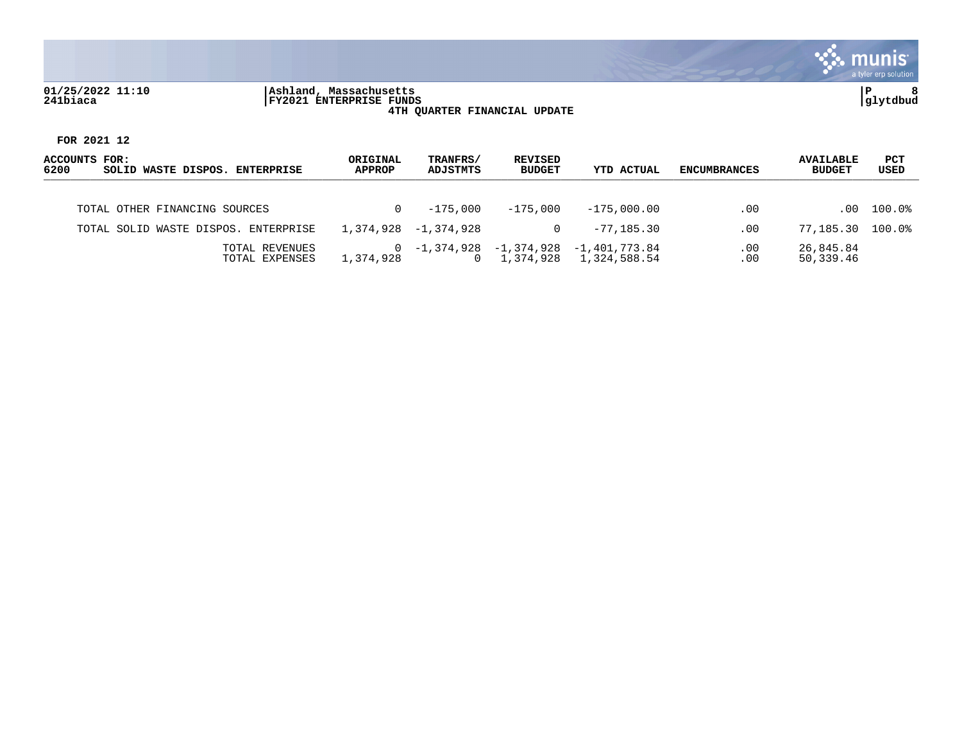

### **01/25/2022 11:10 |Ashland, Massachusetts |P 8 241biaca |FY2021 ENTERPRISE FUNDS |glytdbud 4TH QUARTER FINANCIAL UPDATE**



| ACCOUNTS FOR:<br>6200<br>SOLID WASTE DISPOS. ENTERPRISE | ORIGINAL<br><b>APPROP</b> | TRANFRS/<br>ADJSTMTS | REVISED<br><b>BUDGET</b> | YTD ACTUAL                                   | <b>ENCUMBRANCES</b> | <b>AVAILABLE</b><br><b>BUDGET</b> | PCT<br>USED |
|---------------------------------------------------------|---------------------------|----------------------|--------------------------|----------------------------------------------|---------------------|-----------------------------------|-------------|
|                                                         |                           |                      |                          |                                              |                     |                                   |             |
| TOTAL OTHER FINANCING SOURCES                           |                           | $-175.000$           | $-175.000$               | $-175.000.00$                                | $.00 \,$            | .00                               | $100.0\%$   |
| TOTAL SOLID WASTE DISPOS. ENTERPRISE                    | 1,374,928                 | -1,374,928           |                          | $-77.185.30$                                 | .00                 | 77,185.30                         | 100.0%      |
| TOTAL REVENUES<br>TOTAL EXPENSES                        | 1,374,928                 | $0 - 1,374,928$      | 1,374,928                | $-1,374,928$ $-1,401,773.84$<br>1,324,588.54 | .00<br>$.00 \,$     | 26,845.84<br>50,339.46            |             |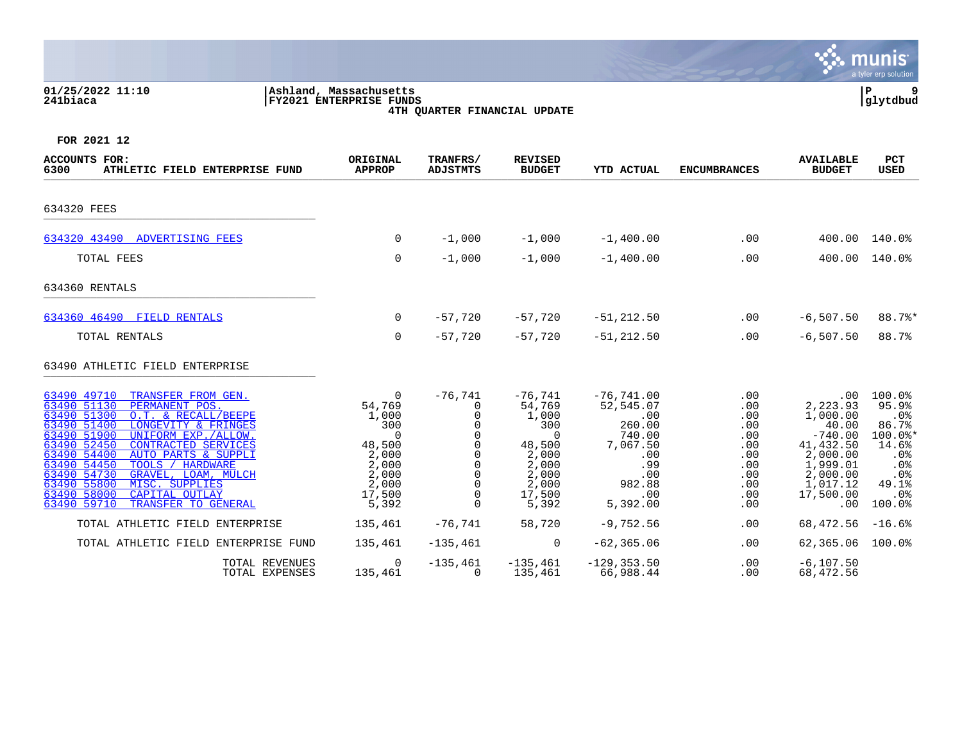#### **01/25/2022 11:10 |Ashland, Massachusetts |P 9 241biaca |FY2021 ENTERPRISE FUNDS |glytdbud 4TH QUARTER FINANCIAL UPDATE**



| ACCOUNTS FOR:<br>6300<br>ATHLETIC FIELD ENTERPRISE FUND                                                                                                                                                                                                                                                                                                                                                                                                  | ORIGINAL<br><b>APPROP</b>                                                                                | TRANFRS/<br><b>ADJSTMTS</b> | <b>REVISED</b><br><b>BUDGET</b>                                                                                  | <b>YTD ACTUAL</b>                                                                                                   | <b>ENCUMBRANCES</b>                                                              | <b>AVAILABLE</b><br><b>BUDGET</b>                                                                                                       | <b>PCT</b><br><b>USED</b>                                                                                                    |
|----------------------------------------------------------------------------------------------------------------------------------------------------------------------------------------------------------------------------------------------------------------------------------------------------------------------------------------------------------------------------------------------------------------------------------------------------------|----------------------------------------------------------------------------------------------------------|-----------------------------|------------------------------------------------------------------------------------------------------------------|---------------------------------------------------------------------------------------------------------------------|----------------------------------------------------------------------------------|-----------------------------------------------------------------------------------------------------------------------------------------|------------------------------------------------------------------------------------------------------------------------------|
| 634320 FEES                                                                                                                                                                                                                                                                                                                                                                                                                                              |                                                                                                          |                             |                                                                                                                  |                                                                                                                     |                                                                                  |                                                                                                                                         |                                                                                                                              |
| 634320 43490 ADVERTISING FEES                                                                                                                                                                                                                                                                                                                                                                                                                            | $\Omega$                                                                                                 | $-1,000$                    | $-1,000$                                                                                                         | $-1,400.00$                                                                                                         | .00                                                                              |                                                                                                                                         | 400.00 140.0%                                                                                                                |
| TOTAL FEES                                                                                                                                                                                                                                                                                                                                                                                                                                               | $\Omega$                                                                                                 | $-1,000$                    | $-1,000$                                                                                                         | $-1,400.00$                                                                                                         | .00                                                                              | 400.00                                                                                                                                  | 140.0%                                                                                                                       |
| 634360 RENTALS                                                                                                                                                                                                                                                                                                                                                                                                                                           |                                                                                                          |                             |                                                                                                                  |                                                                                                                     |                                                                                  |                                                                                                                                         |                                                                                                                              |
| 634360 46490 FIELD RENTALS                                                                                                                                                                                                                                                                                                                                                                                                                               | $\Omega$                                                                                                 | $-57,720$                   | $-57,720$                                                                                                        | $-51, 212.50$                                                                                                       | .00                                                                              | $-6,507.50$                                                                                                                             | 88.7%*                                                                                                                       |
| TOTAL RENTALS                                                                                                                                                                                                                                                                                                                                                                                                                                            | $\Omega$                                                                                                 | $-57,720$                   | $-57,720$                                                                                                        | $-51, 212.50$                                                                                                       | .00                                                                              | $-6,507.50$                                                                                                                             | 88.7%                                                                                                                        |
| 63490 ATHLETIC FIELD ENTERPRISE                                                                                                                                                                                                                                                                                                                                                                                                                          |                                                                                                          |                             |                                                                                                                  |                                                                                                                     |                                                                                  |                                                                                                                                         |                                                                                                                              |
| 63490 49710<br>TRANSFER FROM GEN.<br>63490 51130<br>PERMANENT POS.<br>63490 51300<br>O.T. & RECALL/BEEPE<br>63490 51400<br>LONGEVITY & FRINGES<br>63490 51900<br>UNIFORM EXP./ALLOW.<br>63490 52450<br><b>CONTRACTED SERVICES</b><br>63490 54400<br>AUTO PARTS & SUPPLI<br>63490 54450<br>TOOLS / HARDWARE<br>63490 54730<br>GRAVEL, LOAM, MULCH<br>MISC. SUPPLIES<br>63490 55800<br>CAPITAL OUTLAY<br>63490 58000<br>63490 59710<br>TRANSFER TO GENERAL | 0<br>54,769<br>1,000<br>300<br>$\Omega$<br>48,500<br>2,000<br>2,000<br>2,000<br>2,000<br>17,500<br>5,392 | $-76,741$<br>0              | $-76,741$<br>54,769<br>1,000<br>300<br>$\Omega$<br>48,500<br>2,000<br>2,000<br>2,000<br>2,000<br>17,500<br>5,392 | $-76, 741.00$<br>52,545.07<br>.00<br>260.00<br>740.00<br>7,067.50<br>.00<br>.99<br>.00<br>982.88<br>.00<br>5,392.00 | .00<br>.00<br>.00<br>.00<br>.00<br>.00<br>.00<br>.00<br>.00<br>.00<br>.00<br>.00 | $.00 \,$<br>2,223.93<br>1,000.00<br>40.00<br>$-740.00$<br>41,432.50<br>2,000.00<br>1,999.01<br>2,000.00<br>1,017.12<br>17,500.00<br>.00 | 100.0%<br>95.9%<br>.0%<br>86.7%<br>$100.0$ *<br>14.6%<br>.0 <sub>8</sub><br>.0%<br>.0%<br>49.1%<br>.0 <sub>8</sub><br>100.0% |
| TOTAL ATHLETIC FIELD ENTERPRISE                                                                                                                                                                                                                                                                                                                                                                                                                          | 135,461                                                                                                  | $-76,741$                   | 58,720                                                                                                           | $-9,752.56$                                                                                                         | .00                                                                              | 68,472.56                                                                                                                               | $-16.6%$                                                                                                                     |
| TOTAL ATHLETIC FIELD ENTERPRISE FUND                                                                                                                                                                                                                                                                                                                                                                                                                     | 135,461                                                                                                  | $-135,461$                  | 0                                                                                                                | $-62, 365.06$                                                                                                       | .00                                                                              | 62,365.06                                                                                                                               | 100.0%                                                                                                                       |
| TOTAL REVENUES<br>TOTAL EXPENSES                                                                                                                                                                                                                                                                                                                                                                                                                         | 0<br>135,461                                                                                             | $-135,461$<br>$\Omega$      | $-135, 461$<br>135,461                                                                                           | $-129, 353.50$<br>66,988.44                                                                                         | .00<br>.00                                                                       | $-6, 107.50$<br>68,472.56                                                                                                               |                                                                                                                              |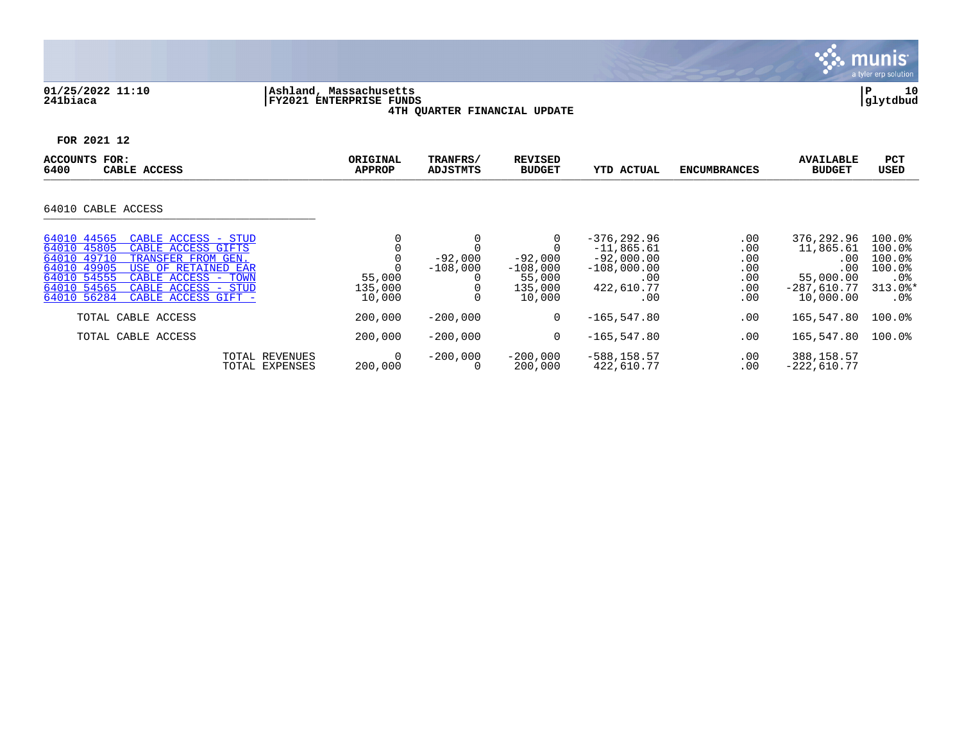

## **01/25/2022 11:10 |Ashland, Massachusetts |P 10 241biaca |FY2021 ENTERPRISE FUNDS |glytdbud 4TH QUARTER FINANCIAL UPDATE**



| <b>ACCOUNTS</b><br>FOR:<br>6400<br>CABLE ACCESS                                                                                                                                                                                                                         | ORIGINAL<br><b>APPROP</b>   | TRANFRS/<br>ADJSTMTS    | <b>REVISED</b><br><b>BUDGET</b>                        | <b>YTD ACTUAL</b>                                                                           | <b>ENCUMBRANCES</b>                           | <b>AVAILABLE</b><br><b>BUDGET</b>                                                | PCT<br><b>USED</b>                                                                           |
|-------------------------------------------------------------------------------------------------------------------------------------------------------------------------------------------------------------------------------------------------------------------------|-----------------------------|-------------------------|--------------------------------------------------------|---------------------------------------------------------------------------------------------|-----------------------------------------------|----------------------------------------------------------------------------------|----------------------------------------------------------------------------------------------|
| 64010 CABLE ACCESS                                                                                                                                                                                                                                                      |                             |                         |                                                        |                                                                                             |                                               |                                                                                  |                                                                                              |
|                                                                                                                                                                                                                                                                         |                             |                         |                                                        |                                                                                             |                                               |                                                                                  |                                                                                              |
| 64010 44565<br>CABLE ACCESS - STUD<br>64010 45805<br>CABLE ACCESS GIFTS<br>64010 49710<br>TRANSFER FROM GEN.<br>64010 49905<br>USE OF RETAINED EAR<br>64010 54555<br>CABLE ACCESS -<br>TOWN<br>64010 54565<br>CABLE ACCESS - STUD<br>64010 56284<br>CABLE ACCESS GIFT - | 55,000<br>135,000<br>10,000 | $-92,000$<br>$-108,000$ | $-92,000$<br>$-108,000$<br>55,000<br>135,000<br>10,000 | $-376, 292.96$<br>$-11,865.61$<br>$-92,000.00$<br>$-108,000.00$<br>.00<br>422,610.77<br>.00 | .00<br>.00<br>.00<br>.00<br>.00<br>.00<br>.00 | 376,292.96<br>11,865.61<br>.00<br>.00<br>55,000.00<br>$-287,610.77$<br>10,000.00 | $100.0$ <sup>8</sup><br>100.0%<br>100.0%<br>100.0%<br>.0 <sub>8</sub><br>$313.0$ *<br>$.0\%$ |
| TOTAL CABLE ACCESS                                                                                                                                                                                                                                                      | 200,000                     | $-200,000$              | 0                                                      | $-165, 547.80$                                                                              | .00                                           | 165,547.80                                                                       | $100.0$ %                                                                                    |
| TOTAL CABLE ACCESS                                                                                                                                                                                                                                                      | 200,000                     | $-200,000$              | $\Omega$                                               | $-165, 547.80$                                                                              | .00                                           | 165,547.80                                                                       | 100.0%                                                                                       |
| TOTAL REVENUES<br>TOTAL EXPENSES                                                                                                                                                                                                                                        | 0<br>200,000                | $-200,000$<br>$\Omega$  | $-200.000$<br>200,000                                  | $-588, 158.57$<br>422,610.77                                                                | .00<br>.00                                    | 388,158.57<br>$-222,610.77$                                                      |                                                                                              |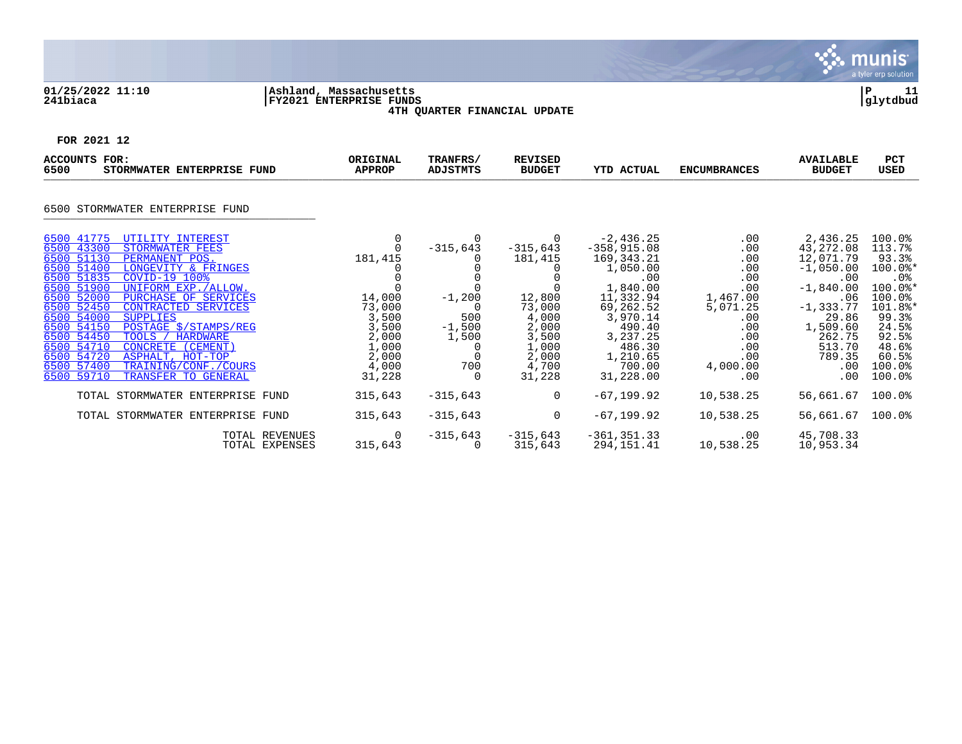

### **01/25/2022 11:10 |Ashland, Massachusetts |P 11 241biaca |FY2021 ENTERPRISE FUNDS |glytdbud 4TH QUARTER FINANCIAL UPDATE**



| <b>ACCOUNTS</b><br>FOR:<br>STORMWATER ENTERPRISE FUND<br>6500                                                                                                                                                                                                                                                                                                                                                                                                                                                                                 | ORIGINAL<br><b>APPROP</b>                                                                        | TRANFRS/<br><b>ADJSTMTS</b>                                                                   | <b>REVISED</b><br><b>BUDGET</b>                                                                           | <b>YTD ACTUAL</b>                                                                                                                                                                   | <b>ENCUMBRANCES</b>                                                                                                  | <b>AVAILABLE</b><br><b>BUDGET</b>                                                                                                                               | PCT<br><b>USED</b>                                                                                                                                     |
|-----------------------------------------------------------------------------------------------------------------------------------------------------------------------------------------------------------------------------------------------------------------------------------------------------------------------------------------------------------------------------------------------------------------------------------------------------------------------------------------------------------------------------------------------|--------------------------------------------------------------------------------------------------|-----------------------------------------------------------------------------------------------|-----------------------------------------------------------------------------------------------------------|-------------------------------------------------------------------------------------------------------------------------------------------------------------------------------------|----------------------------------------------------------------------------------------------------------------------|-----------------------------------------------------------------------------------------------------------------------------------------------------------------|--------------------------------------------------------------------------------------------------------------------------------------------------------|
| 6500 STORMWATER ENTERPRISE FUND                                                                                                                                                                                                                                                                                                                                                                                                                                                                                                               |                                                                                                  |                                                                                               |                                                                                                           |                                                                                                                                                                                     |                                                                                                                      |                                                                                                                                                                 |                                                                                                                                                        |
| 6500 41775<br>UTILITY INTEREST<br>6500 43300<br>STORMWATER FEES<br>6500 51130<br>PERMANENT POS.<br>6500 51400<br>LONGEVITY & FRINGES<br>6500 51835<br>COVID-19 100%<br>6500 51900<br>UNIFORM EXP./ALLOW.<br>6500 52000<br>PURCHASE OF SERVICES<br>6500 52450<br>CONTRACTED SERVICES<br>6500 54000<br><b>SUPPLIES</b><br>6500 54150<br>POSTAGE \$/STAMPS/REG<br>6500 54450<br>TOOLS / HARDWARE<br>6500 54710<br>CONCRETE (CEMENT)<br>6500 54720<br>ASPHALT, HOT-TOP<br>6500 57400<br>TRAINING/CONF./COURS<br>6500 59710<br>TRANSFER TO GENERAL | 0<br>181,415<br>14,000<br>73,000<br>3,500<br>3,500<br>2,000<br>1,000<br>2,000<br>4,000<br>31,228 | $\Omega$<br>$-315,643$<br>$-1,200$<br>$\Omega$<br>500<br>$-1,500$<br>1,500<br>700<br>$\Omega$ | $-315,643$<br>181,415<br>12,800<br>73,000<br>4,000<br>2,000<br>3,500<br>1,000<br>2,000<br>4,700<br>31,228 | $-2,436.25$<br>$-358, 915.08$<br>169,343.21<br>1,050.00<br>.00<br>1,840.00<br>11,332.94<br>69,262.52<br>3,970.14<br>490.40<br>3,237.25<br>486.30<br>1,210.65<br>700.00<br>31,228.00 | .00<br>.00<br>.00<br>.00<br>.00<br>.00<br>1,467.00<br>5,071.25<br>.00<br>.00<br>.00<br>.00<br>.00<br>4,000.00<br>.00 | 2,436.25<br>43,272.08<br>12,071.79<br>$-1,050.00$<br>.00<br>$-1,840.00$<br>.06<br>$-1, 333.77$<br>29.86<br>1,509.60<br>262.75<br>513.70<br>789.35<br>.00<br>.00 | 100.0%<br>113.7%<br>93.3%<br>$100.0$ *<br>$.0\%$<br>$100.0$ *<br>100.0%<br>101.8%*<br>99.3%<br>24.5%<br>92.5%<br>48.6%<br>60.5%<br>$100.0$ %<br>100.0% |
| TOTAL STORMWATER ENTERPRISE FUND                                                                                                                                                                                                                                                                                                                                                                                                                                                                                                              | 315,643                                                                                          | $-315,643$                                                                                    | 0                                                                                                         | $-67, 199.92$                                                                                                                                                                       | 10,538.25                                                                                                            | 56,661.67                                                                                                                                                       | 100.0%                                                                                                                                                 |
| TOTAL STORMWATER ENTERPRISE FUND                                                                                                                                                                                                                                                                                                                                                                                                                                                                                                              | 315,643                                                                                          | $-315,643$                                                                                    | 0                                                                                                         | $-67, 199.92$                                                                                                                                                                       | 10,538.25                                                                                                            | 56,661.67                                                                                                                                                       | $100.0$ %                                                                                                                                              |
| TOTAL REVENUES<br>TOTAL EXPENSES                                                                                                                                                                                                                                                                                                                                                                                                                                                                                                              | 0<br>315,643                                                                                     | $-315,643$<br>$\Omega$                                                                        | $-315,643$<br>315,643                                                                                     | $-361, 351.33$<br>294, 151.41                                                                                                                                                       | $.00 \,$<br>10,538.25                                                                                                | 45,708.33<br>10,953.34                                                                                                                                          |                                                                                                                                                        |